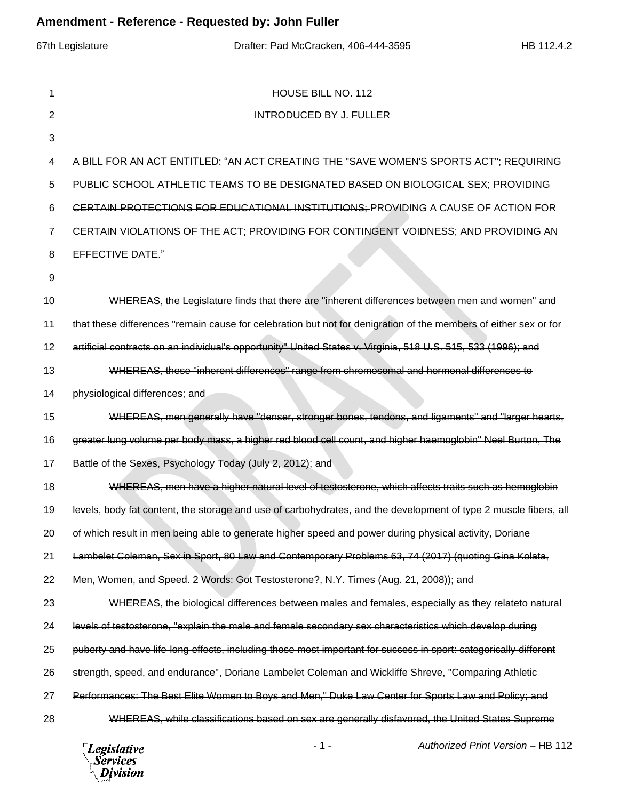| Amendment - Reference - Requested by: John Fuller |                                                                                                                  |  |  |  |  |  |
|---------------------------------------------------|------------------------------------------------------------------------------------------------------------------|--|--|--|--|--|
|                                                   | 67th Legislature<br>Drafter: Pad McCracken, 406-444-3595<br>HB 112.4.2                                           |  |  |  |  |  |
| 1                                                 | HOUSE BILL NO. 112                                                                                               |  |  |  |  |  |
| $\overline{2}$                                    | <b>INTRODUCED BY J. FULLER</b>                                                                                   |  |  |  |  |  |
| 3                                                 |                                                                                                                  |  |  |  |  |  |
| 4                                                 | A BILL FOR AN ACT ENTITLED: "AN ACT CREATING THE "SAVE WOMEN'S SPORTS ACT"; REQUIRING                            |  |  |  |  |  |
| 5                                                 | PUBLIC SCHOOL ATHLETIC TEAMS TO BE DESIGNATED BASED ON BIOLOGICAL SEX; PROVIDING                                 |  |  |  |  |  |
| 6                                                 | CERTAIN PROTECTIONS FOR EDUCATIONAL INSTITUTIONS; PROVIDING A CAUSE OF ACTION FOR                                |  |  |  |  |  |
| 7                                                 | CERTAIN VIOLATIONS OF THE ACT; PROVIDING FOR CONTINGENT VOIDNESS; AND PROVIDING AN                               |  |  |  |  |  |
| 8                                                 | <b>EFFECTIVE DATE."</b>                                                                                          |  |  |  |  |  |
| 9                                                 |                                                                                                                  |  |  |  |  |  |
| 10                                                | WHEREAS, the Legislature finds that there are "inherent differences between men and women" and                   |  |  |  |  |  |
| 11                                                | that these differences "remain cause for celebration but not for denigration of the members of either sex or for |  |  |  |  |  |
| 12                                                | artificial contracts on an individual's opportunity" United States v. Virginia, 518 U.S. 515, 533 (1996); and    |  |  |  |  |  |
| 13                                                | WHEREAS, these "inherent differences" range from chromosomal and hormonal differences to                         |  |  |  |  |  |
| 14                                                | physiological differences; and                                                                                   |  |  |  |  |  |
| 15                                                | WHEREAS, men generally have "denser, stronger bones, tendons, and ligaments" and "larger hearts,                 |  |  |  |  |  |
| 16                                                | greater lung volume per body mass, a higher red blood cell count, and higher haemoglobin" Neel Burton, The       |  |  |  |  |  |
| 17                                                | Battle of the Sexes, Psychology Today (July 2, 2012); and                                                        |  |  |  |  |  |
| 18                                                | WHEREAS, men have a higher natural level of testosterone, which affects traits such as hemoglobin                |  |  |  |  |  |
| 19                                                | levels, body fat content, the storage and use of carbohydrates, and the development of type 2 muscle fibers, all |  |  |  |  |  |
| 20                                                | of which result in men being able to generate higher speed and power during physical activity, Doriane           |  |  |  |  |  |
| 21                                                | Lambelet Coleman, Sex in Sport, 80 Law and Contemporary Problems 63, 74 (2017) (quoting Gina Kolata,             |  |  |  |  |  |
| 22                                                | Men, Women, and Speed. 2 Words: Got Testosterone?, N.Y. Times (Aug. 21, 2008)); and                              |  |  |  |  |  |
| 23                                                | WHEREAS, the biological differences between males and females, especially as they relateto natural               |  |  |  |  |  |
| 24                                                | levels of testosterone, "explain the male and female secondary sex characteristics which develop during          |  |  |  |  |  |
| 25                                                | puberty and have life-long effects, including those most important for success in sport: categorically different |  |  |  |  |  |
| 26                                                | strength, speed, and endurance", Doriane Lambelet Coleman and Wickliffe Shreve, "Comparing Athletic              |  |  |  |  |  |
| 27                                                | Performances: The Best Elite Women to Boys and Men," Duke Law Center for Sports Law and Policy; and              |  |  |  |  |  |
| 28                                                | WHEREAS, while classifications based on sex are generally disfavored, the United States Supreme                  |  |  |  |  |  |

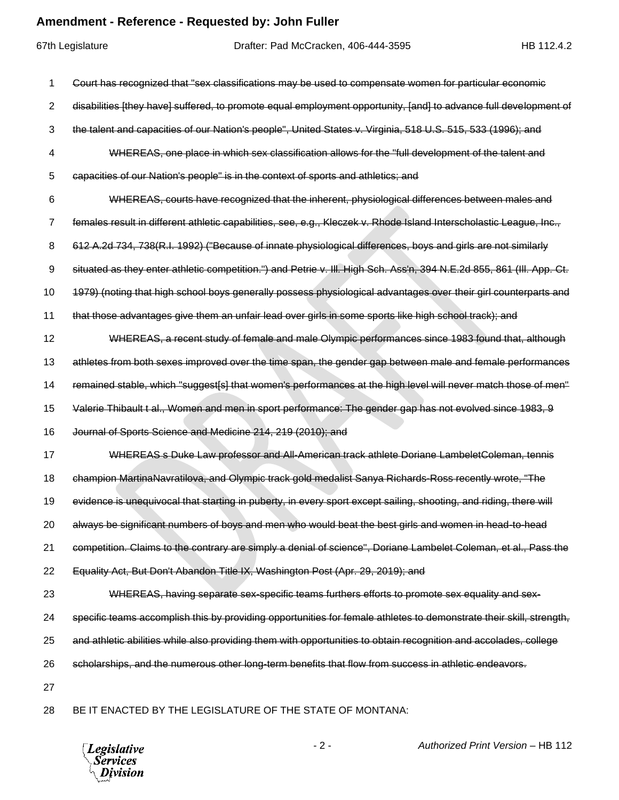## **Amendment - Reference - Requested by: John Fuller**

|    | 67th Legislature | Drafter: Pad McCracken, 406-444-3595                                                                                  | HB 112.4.2 |
|----|------------------|-----------------------------------------------------------------------------------------------------------------------|------------|
| 1  |                  | Court has recognized that "sex classifications may be used to compensate women for particular economic                |            |
| 2  |                  | disabilities [they have] suffered, to promote equal employment opportunity, [and] to advance full development of      |            |
| 3  |                  | the talent and capacities of our Nation's people", United States v. Virginia, 518 U.S. 515, 533 (1996); and           |            |
| 4  |                  | WHEREAS, one place in which sex classification allows for the "full development of the talent and                     |            |
| 5  |                  | capacities of our Nation's people" is in the context of sports and athletics; and                                     |            |
| 6  |                  | WHEREAS, courts have recognized that the inherent, physiological differences between males and                        |            |
| 7  |                  | females result in different athletic capabilities, see, e.g., Kleczek v. Rhode Island Interscholastic League, Inc.,   |            |
| 8  |                  | 612 A.2d 734, 738(R.I. 1992) ("Because of innate physiological differences, boys and girls are not similarly          |            |
| 9  |                  | situated as they enter athletic competition.") and Petrie v. III. High Sch. Ass'n, 394 N.E.2d 855, 861 (III. App. Ct. |            |
| 10 |                  | 1979) (noting that high school boys generally possess physiological advantages over their girl counterparts and       |            |
| 11 |                  | that those advantages give them an unfair lead over girls in some sports like high school track); and                 |            |
| 12 |                  | WHEREAS, a recent study of female and male Olympic performances since 1983 found that, although                       |            |
| 13 |                  | athletes from both sexes improved over the time span, the gender gap between male and female performances             |            |
| 14 |                  | remained stable, which "suggest[s] that women's performances at the high level will never match those of men"         |            |
| 15 |                  | Valerie Thibault t al., Women and men in sport performance: The gender gap has not evolved since 1983, 9              |            |
| 16 |                  | Journal of Sports Science and Medicine 214, 219 (2010); and                                                           |            |
| 17 |                  | WHEREAS s Duke Law professor and All-American track athlete Doriane LambeletColeman, tennis                           |            |
| 18 |                  | champion MartinaNavratilova, and Olympic track gold medalist Sanya Richards-Ross recently wrote, "The                 |            |
| 19 |                  | evidence is unequivocal that starting in puberty, in every sport except sailing, shooting, and riding, there will     |            |
| 20 |                  | always be significant numbers of boys and men who would beat the best girls and women in head-to-head                 |            |
| 21 |                  | competition. Claims to the contrary are simply a denial of science", Doriane Lambelet Coleman, et al., Pass the       |            |
| 22 |                  | Equality Act, But Don't Abandon Title IX, Washington Post (Apr. 29, 2019); and                                        |            |
| 23 |                  | WHEREAS, having separate sex-specific teams furthers efforts to promote sex equality and sex-                         |            |
| 24 |                  | specific teams accomplish this by providing opportunities for female athletes to demonstrate their skill, strength,   |            |
| 25 |                  | and athletic abilities while also providing them with opportunities to obtain recognition and accolades, college      |            |
| 26 |                  | scholarships, and the numerous other long-term benefits that flow from success in athletic endeavors.                 |            |
| 27 |                  |                                                                                                                       |            |
| 28 |                  | BE IT ENACTED BY THE LEGISLATURE OF THE STATE OF MONTANA:                                                             |            |
|    |                  |                                                                                                                       |            |

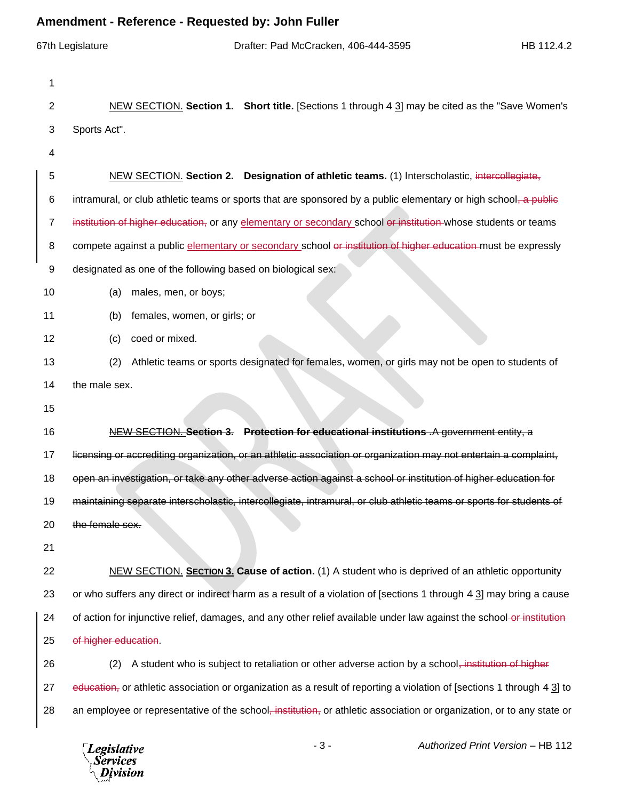## **Amendment - Reference - Requested by: John Fuller**

|                | 67th Legislature                                            | Drafter: Pad McCracken, 406-444-3595                                                                            | HB 112.4.2                                                                                                                        |
|----------------|-------------------------------------------------------------|-----------------------------------------------------------------------------------------------------------------|-----------------------------------------------------------------------------------------------------------------------------------|
| 1              |                                                             |                                                                                                                 |                                                                                                                                   |
| $\overline{c}$ |                                                             |                                                                                                                 | NEW SECTION. Section 1. Short title. [Sections 1 through 4 3] may be cited as the "Save Women's                                   |
| 3              | Sports Act".                                                |                                                                                                                 |                                                                                                                                   |
| 4              |                                                             |                                                                                                                 |                                                                                                                                   |
| 5              |                                                             | NEW SECTION. Section 2. Designation of athletic teams. (1) Interscholastic, intercollegiate,                    |                                                                                                                                   |
| 6              |                                                             |                                                                                                                 | intramural, or club athletic teams or sports that are sponsored by a public elementary or high school, a public                   |
| $\overline{7}$ |                                                             | institution of higher education, or any elementary or secondary school or institution whose students or teams   |                                                                                                                                   |
| 8              |                                                             |                                                                                                                 | compete against a public elementary or secondary school or institution of higher education must be expressly                      |
| 9              | designated as one of the following based on biological sex: |                                                                                                                 |                                                                                                                                   |
| 10             | males, men, or boys;<br>(a)                                 |                                                                                                                 |                                                                                                                                   |
| 11             | females, women, or girls; or<br>(b)                         |                                                                                                                 |                                                                                                                                   |
| 12             | coed or mixed.<br>(c)                                       |                                                                                                                 |                                                                                                                                   |
| 13             | (2)                                                         |                                                                                                                 | Athletic teams or sports designated for females, women, or girls may not be open to students of                                   |
| 14             | the male sex.                                               |                                                                                                                 |                                                                                                                                   |
| 15             |                                                             |                                                                                                                 |                                                                                                                                   |
| 16             |                                                             | NEW SECTION. Section 3. Protection for educational institutions A government entity, a                          |                                                                                                                                   |
| 17             |                                                             |                                                                                                                 | licensing or accrediting organization, or an athletic association or organization may not entertain a complaint,                  |
| 18             |                                                             | open an investigation, or take any other adverse action against a school or institution of higher education for |                                                                                                                                   |
| 19             |                                                             |                                                                                                                 | maintaining separate interscholastic, intercollegiate, intramural, or club athletic teams or sports for students of               |
| 20             | the female sex.                                             |                                                                                                                 |                                                                                                                                   |
| 21             |                                                             |                                                                                                                 |                                                                                                                                   |
| 22             |                                                             |                                                                                                                 | NEW SECTION. SECTION 3. Cause of action. (1) A student who is deprived of an athletic opportunity                                 |
| 23             |                                                             |                                                                                                                 | or who suffers any direct or indirect harm as a result of a violation of [sections 1 through 4 3] may bring a cause               |
| 24             |                                                             |                                                                                                                 | of action for injunctive relief, damages, and any other relief available under law against the school-or-institution              |
| 25             | of higher education.                                        |                                                                                                                 |                                                                                                                                   |
| 26             | (2)                                                         | A student who is subject to retaliation or other adverse action by a school, institution of higher              |                                                                                                                                   |
| 27             |                                                             |                                                                                                                 | education, or athletic association or organization as a result of reporting a violation of [sections 1 through 4 3] to            |
| 28             |                                                             |                                                                                                                 | an employee or representative of the school <del>, institution,</del> or athletic association or organization, or to any state or |
|                |                                                             |                                                                                                                 |                                                                                                                                   |